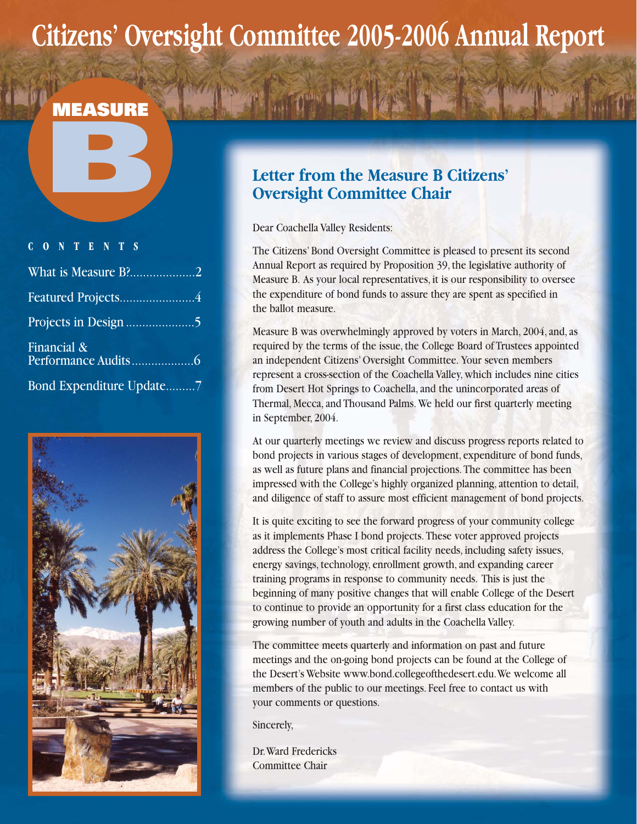# **Citizens' Oversight Committee 2005-2006 Annual Report**

# **B**

# **CONTENTS** What is Measure B?........................2

| Featured Projects4                    |
|---------------------------------------|
|                                       |
| Financial $\&$<br>Performance Audits6 |
| Bond Expenditure Update7              |



## **Letter from the Measure B Citizens' Oversight Committee Chair**

Dear Coachella Valley Residents:

The Citizens' Bond Oversight Committee is pleased to present its second Annual Report as required by Proposition 39, the legislative authority of Measure B. As your local representatives, it is our responsibility to oversee the expenditure of bond funds to assure they are spent as specified in the ballot measure.

Measure B was overwhelmingly approved by voters in March, 2004, and, as required by the terms of the issue, the College Board of Trustees appointed an independent Citizens' Oversight Committee. Your seven members represent a cross-section of the Coachella Valley, which includes nine cities from Desert Hot Springs to Coachella, and the unincorporated areas of Thermal, Mecca, and Thousand Palms. We held our first quarterly meeting in September, 2004.

At our quarterly meetings we review and discuss progress reports related to bond projects in various stages of development, expenditure of bond funds, as well as future plans and financial projections. The committee has been impressed with the College's highly organized planning, attention to detail, and diligence of staff to assure most efficient management of bond projects.

It is quite exciting to see the forward progress of your community college as it implements Phase I bond projects. These voter approved projects address the College's most critical facility needs, including safety issues, energy savings, technology, enrollment growth, and expanding career training programs in response to community needs. This is just the beginning of many positive changes that will enable College of the Desert to continue to provide an opportunity for a first class education for the growing number of youth and adults in the Coachella Valley.

The committee meets quarterly and information on past and future meetings and the on-going bond projects can be found at the College of the Desert's Website www.bond.collegeofthedesert.edu.We welcome all members of the public to our meetings. Feel free to contact us with your comments or questions.

Sincerely,

Dr.Ward Fredericks Committee Chair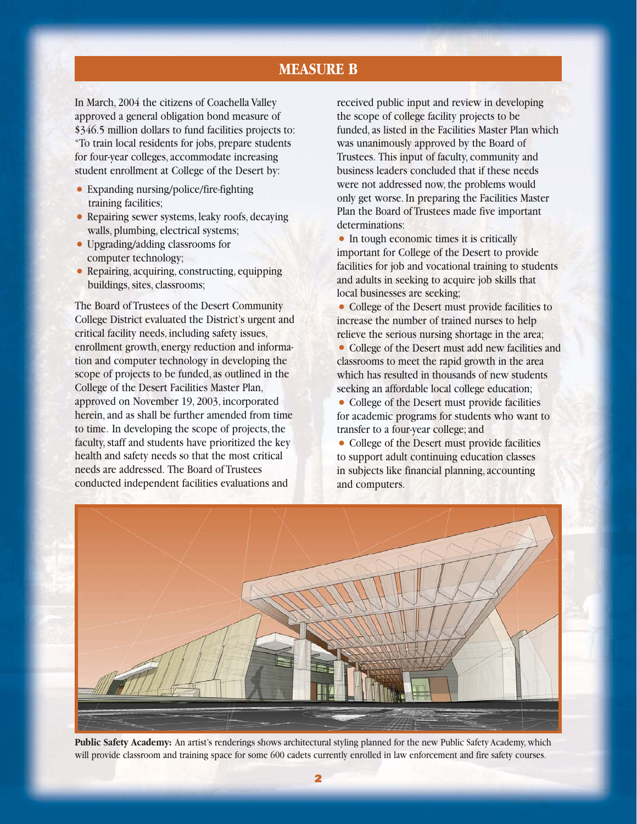#### **MEASURE B**

In March, 2004 the citizens of Coachella Valley approved a general obligation bond measure of \$346.5 million dollars to fund facilities projects to: "To train local residents for jobs, prepare students for four-year colleges, accommodate increasing student enrollment at College of the Desert by:

- Expanding nursing/police/fire-fighting training facilities;
- Repairing sewer systems, leaky roofs, decaying walls, plumbing, electrical systems;
- Upgrading/adding classrooms for computer technology;
- Repairing, acquiring, constructing, equipping buildings, sites, classrooms;

The Board of Trustees of the Desert Community College District evaluated the District's urgent and critical facility needs, including safety issues, enrollment growth, energy reduction and information and computer technology in developing the scope of projects to be funded, as outlined in the College of the Desert Facilities Master Plan, approved on November 19, 2003, incorporated herein, and as shall be further amended from time to time. In developing the scope of projects, the faculty, staff and students have prioritized the key health and safety needs so that the most critical needs are addressed. The Board of Trustees conducted independent facilities evaluations and

received public input and review in developing the scope of college facility projects to be funded, as listed in the Facilities Master Plan which was unanimously approved by the Board of Trustees. This input of faculty, community and business leaders concluded that if these needs were not addressed now, the problems would only get worse. In preparing the Facilities Master Plan the Board of Trustees made five important determinations:

• In tough economic times it is critically important for College of the Desert to provide facilities for job and vocational training to students and adults in seeking to acquire job skills that local businesses are seeking;

• College of the Desert must provide facilities to increase the number of trained nurses to help relieve the serious nursing shortage in the area;

- College of the Desert must add new facilities and classrooms to meet the rapid growth in the area which has resulted in thousands of new students seeking an affordable local college education;
- College of the Desert must provide facilities for academic programs for students who want to transfer to a four-year college; and
- College of the Desert must provide facilities to support adult continuing education classes in subjects like financial planning, accounting and computers.



**Public Safety Academy:** An artist's renderings shows architectural styling planned for the new Public Safety Academy, which will provide classroom and training space for some 600 cadets currently enrolled in law enforcement and fire safety courses.

**2**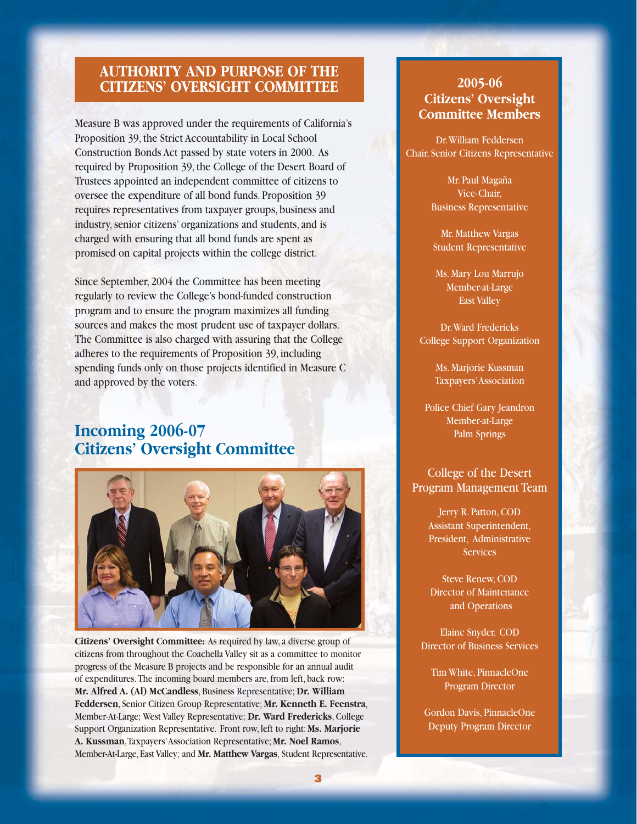#### **AUTHORITY AND PURPOSE OF THE CITIZENS' OVERSIGHT COMMITTEE**

Measure B was approved under the requirements of California's Proposition 39, the Strict Accountability in Local School Construction Bonds Act passed by state voters in 2000. As required by Proposition 39, the College of the Desert Board of Trustees appointed an independent committee of citizens to oversee the expenditure of all bond funds. Proposition 39 requires representatives from taxpayer groups, business and industry, senior citizens' organizations and students, and is charged with ensuring that all bond funds are spent as promised on capital projects within the college district.

Since September, 2004 the Committee has been meeting regularly to review the College's bond-funded construction program and to ensure the program maximizes all funding sources and makes the most prudent use of taxpayer dollars. The Committee is also charged with assuring that the College adheres to the requirements of Proposition 39, including spending funds only on those projects identified in Measure C and approved by the voters.

## **Incoming 2006-07 Citizens' Oversight Committee**



**Citizens' Oversight Committee:** As required by law, a diverse group of citizens from throughout the Coachella Valley sit as a committee to monitor progress of the Measure B projects and be responsible for an annual audit of expenditures. The incoming board members are, from left, back row: **Mr. Alfred A. (Al) McCandless**, Business Representative; **Dr. William Feddersen**, Senior Citizen Group Representative; **Mr. Kenneth E. Feenstra**, Member-At-Large; West Valley Representative; **Dr. Ward Fredericks**, College Support Organization Representative. Front row, left to right: **Ms. Marjorie A. Kussman**,Taxpayers'Association Representative; **Mr. Noel Ramos**, Member-At-Large, East Valley; and **Mr. Matthew Vargas**, Student Representative.

#### **2005-06 Citizens' Oversight Committee Members**

Dr.William Feddersen Chair, Senior Citizens Representative

> Mr. Paul Magaña Vice-Chair, Business Representative

Mr. Matthew Vargas Student Representative

Ms. Mary Lou Marrujo Member-at-Large East Valley

Dr.Ward Fredericks College Support Organization

> Ms. Marjorie Kussman Taxpayers'Association

Police Chief Gary Jeandron Member-at-Large Palm Springs

#### College of the Desert Program Management Team

Jerry R. Patton, COD Assistant Superintendent, President, Administrative **Services** 

Steve Renew, COD Director of Maintenance and Operations

Elaine Snyder, COD Director of Business Services

Tim White, PinnacleOne Program Director

Gordon Davis, PinnacleOne Deputy Program Director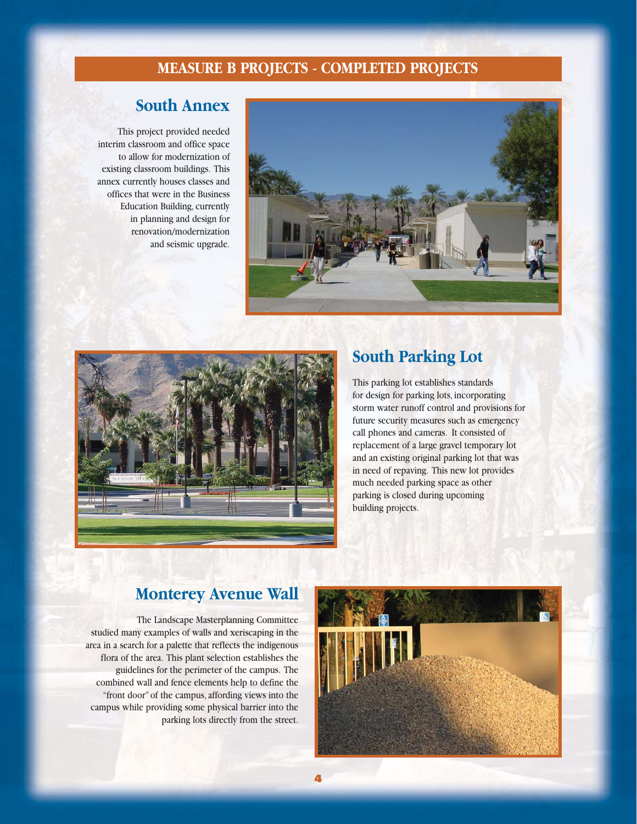#### **MEASURE B PROJECTS - COMPLETED PROJECTS**

# **South Annex**

This project provided needed interim classroom and office space to allow for modernization of existing classroom buildings. This annex currently houses classes and offices that were in the Business Education Building, currently in planning and design for renovation/modernization and seismic upgrade.





### **South Parking Lot**

This parking lot establishes standards for design for parking lots, incorporating storm water runoff control and provisions for future security measures such as emergency call phones and cameras. It consisted of replacement of a large gravel temporary lot and an existing original parking lot that was in need of repaving. This new lot provides much needed parking space as other parking is closed during upcoming building projects.

#### **Monterey Avenue Wall**

**4**

The Landscape Masterplanning Committee studied many examples of walls and xeriscaping in the area in a search for a palette that reflects the indigenous flora of the area. This plant selection establishes the guidelines for the perimeter of the campus. The combined wall and fence elements help to define the "front door" of the campus, affording views into the campus while providing some physical barrier into the parking lots directly from the street.

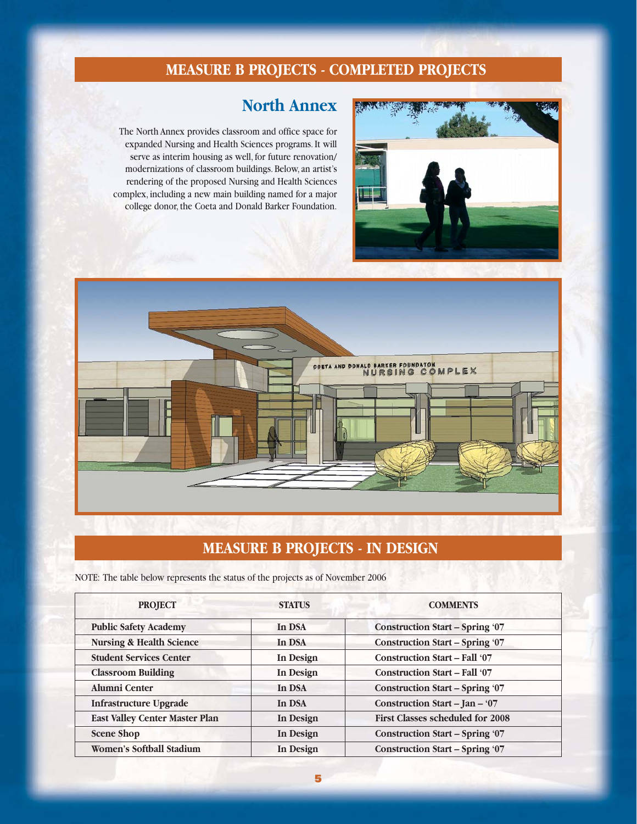# **MEASURE B PROJECTS - COMPLETED PROJECTS**

### **North Annex**

The North Annex provides classroom and office space for expanded Nursing and Health Sciences programs. It will serve as interim housing as well, for future renovation/ modernizations of classroom buildings. Below, an artist's rendering of the proposed Nursing and Health Sciences complex, including a new main building named for a major college donor, the Coeta and Donald Barker Foundation.





# **MEASURE B PROJECTS - IN DESIGN**

NOTE: The table below represents the status of the projects as of November 2006

| <b>PROJECT</b>                        | <b>STATUS</b> | <b>COMMENTS</b>                         |  |
|---------------------------------------|---------------|-----------------------------------------|--|
| <b>Public Safety Academy</b>          | In DSA        | <b>Construction Start - Spring '07</b>  |  |
| <b>Nursing &amp; Health Science</b>   | In DSA        | <b>Construction Start - Spring '07</b>  |  |
| <b>Student Services Center</b>        | In Design     | <b>Construction Start - Fall '07</b>    |  |
| <b>Classroom Building</b>             | In Design     | <b>Construction Start - Fall '07</b>    |  |
| Alumni Center                         | In DSA        | <b>Construction Start - Spring '07</b>  |  |
| <b>Infrastructure Upgrade</b>         | In DSA        | Construction Start - Jan - '07          |  |
| <b>East Valley Center Master Plan</b> | In Design     | <b>First Classes scheduled for 2008</b> |  |
| <b>Scene Shop</b>                     | In Design     | <b>Construction Start – Spring '07</b>  |  |
| <b>Women's Softball Stadium</b>       | In Design     | <b>Construction Start - Spring '07</b>  |  |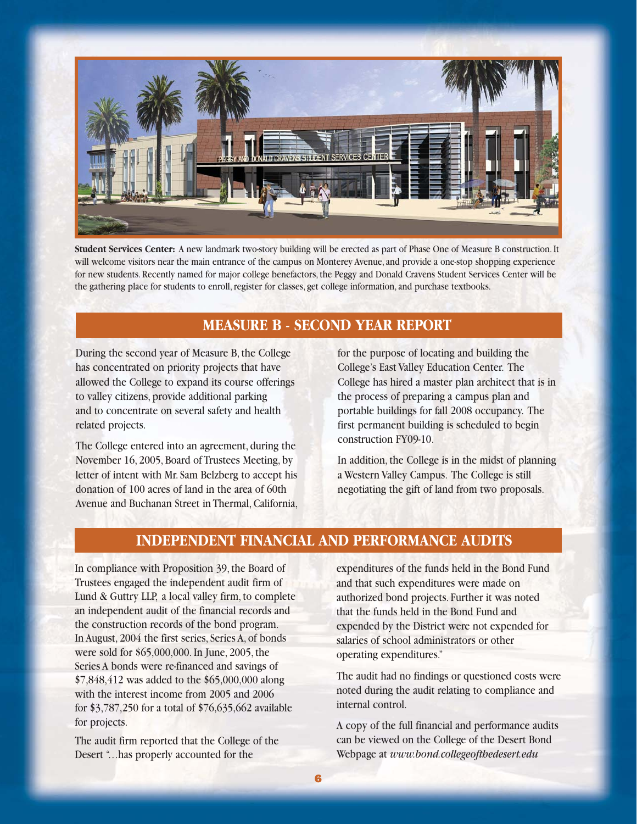

**Student Services Center:** A new landmark two-story building will be erected as part of Phase One of Measure B construction. It will welcome visitors near the main entrance of the campus on Monterey Avenue, and provide a one-stop shopping experience for new students. Recently named for major college benefactors, the Peggy and Donald Cravens Student Services Center will be the gathering place for students to enroll, register for classes, get college information, and purchase textbooks.

#### **MEASURE B - SECOND YEAR REPORT**

During the second year of Measure B, the College has concentrated on priority projects that have allowed the College to expand its course offerings to valley citizens, provide additional parking and to concentrate on several safety and health related projects.

The College entered into an agreement, during the November 16, 2005, Board of Trustees Meeting, by letter of intent with Mr. Sam Belzberg to accept his donation of 100 acres of land in the area of 60th Avenue and Buchanan Street in Thermal, California, for the purpose of locating and building the College's East Valley Education Center. The College has hired a master plan architect that is in the process of preparing a campus plan and portable buildings for fall 2008 occupancy. The first permanent building is scheduled to begin construction FY09-10.

In addition, the College is in the midst of planning a Western Valley Campus. The College is still negotiating the gift of land from two proposals.

#### **INDEPENDENT FINANCIAL AND PERFORMANCE AUDITS**

In compliance with Proposition 39, the Board of Trustees engaged the independent audit firm of Lund & Guttry LLP, a local valley firm, to complete an independent audit of the financial records and the construction records of the bond program. In August, 2004 the first series, Series A, of bonds were sold for \$65,000,000. In June, 2005, the Series A bonds were re-financed and savings of \$7,848,412 was added to the \$65,000,000 along with the interest income from 2005 and 2006 for \$3,787,250 for a total of \$76,635,662 available for projects.

The audit firm reported that the College of the Desert "…has properly accounted for the

expenditures of the funds held in the Bond Fund and that such expenditures were made on authorized bond projects. Further it was noted that the funds held in the Bond Fund and expended by the District were not expended for salaries of school administrators or other operating expenditures."

The audit had no findings or questioned costs were noted during the audit relating to compliance and internal control.

A copy of the full financial and performance audits can be viewed on the College of the Desert Bond Webpage at *www.bond.collegeofthedesert.edu*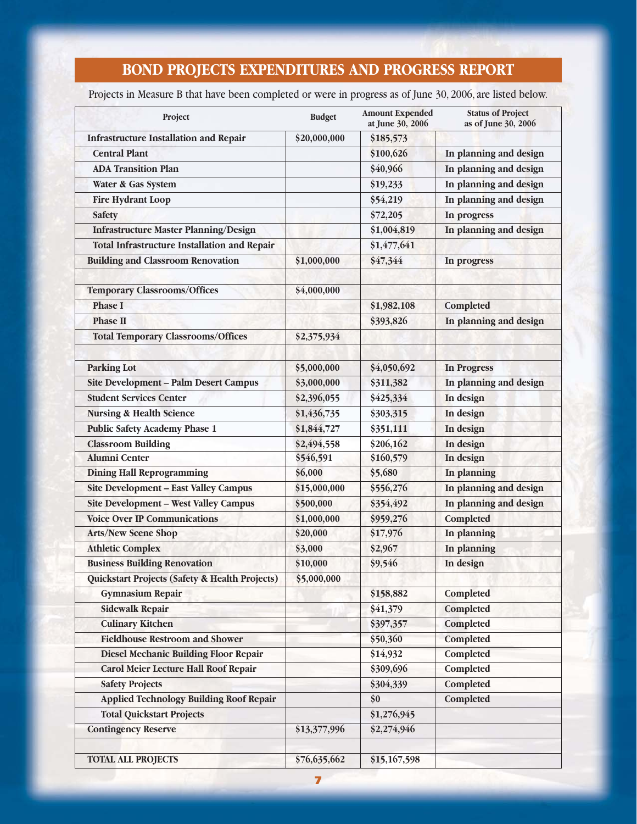# **BOND PROJECTS EXPENDITURES AND PROGRESS REPORT**

Projects in Measure B that have been completed or were in progress as of June 30, 2006, are listed below.

| Project                                             | <b>Budget</b> | <b>Amount Expended</b><br>at June 30, 2006 | <b>Status of Project</b><br>as of June 30, 2006 |
|-----------------------------------------------------|---------------|--------------------------------------------|-------------------------------------------------|
| <b>Infrastructure Installation and Repair</b>       | \$20,000,000  | \$185,573                                  |                                                 |
| <b>Central Plant</b>                                |               | \$100,626                                  | In planning and design                          |
| <b>ADA Transition Plan</b>                          |               | \$40,966                                   | In planning and design                          |
| Water & Gas System                                  |               | \$19,233                                   | In planning and design                          |
| <b>Fire Hydrant Loop</b>                            |               | \$54,219                                   | In planning and design                          |
| <b>Safety</b>                                       |               | \$72,205                                   | In progress                                     |
| <b>Infrastructure Master Planning/Design</b>        |               | \$1,004,819                                | In planning and design                          |
| <b>Total Infrastructure Installation and Repair</b> |               | \$1,477,641                                |                                                 |
| <b>Building and Classroom Renovation</b>            | \$1,000,000   | \$47,344                                   | In progress                                     |
| <b>Temporary Classrooms/Offices</b>                 | \$4,000,000   |                                            |                                                 |
| <b>Phase I</b>                                      |               | \$1,982,108                                | Completed                                       |
| <b>Phase II</b>                                     |               | \$393,826                                  | In planning and design                          |
| <b>Total Temporary Classrooms/Offices</b>           | \$2,375,934   |                                            |                                                 |
| <b>Parking Lot</b>                                  | \$5,000,000   | \$4,050,692                                | <b>In Progress</b>                              |
| Site Development - Palm Desert Campus               | \$3,000,000   | \$311,382                                  | In planning and design                          |
| <b>Student Services Center</b>                      | \$2,396,055   | \$425,334                                  | In design                                       |
| <b>Nursing &amp; Health Science</b>                 | \$1,436,735   | \$303,315                                  | In design                                       |
| <b>Public Safety Academy Phase 1</b>                | \$1,844,727   | \$351,111                                  | In design                                       |
| <b>Classroom Building</b>                           | \$2,494,558   | \$206,162                                  | In design                                       |
| <b>Alumni Center</b>                                | \$546,591     | \$160,579                                  | In design                                       |
| <b>Dining Hall Reprogramming</b>                    | \$6,000       | \$5,680                                    | In planning                                     |
| <b>Site Development - East Valley Campus</b>        | \$15,000,000  | \$556,276                                  | In planning and design                          |
| <b>Site Development - West Valley Campus</b>        | \$500,000     | \$354,492                                  | In planning and design                          |
| <b>Voice Over IP Communications</b>                 | \$1,000,000   | \$959,276                                  | Completed                                       |
| <b>Arts/New Scene Shop</b>                          | \$20,000      | \$17,976                                   | In planning                                     |
| <b>Athletic Complex</b>                             | \$3,000       | \$2,967                                    | In planning                                     |
| <b>Business Building Renovation</b>                 | \$10,000      | \$9,546                                    | In design                                       |
| Quickstart Projects (Safety & Health Projects)      | \$5,000,000   |                                            |                                                 |
| <b>Gymnasium Repair</b>                             |               | \$158,882                                  | Completed                                       |
| <b>Sidewalk Repair</b>                              |               | \$41,379                                   | Completed                                       |
| <b>Culinary Kitchen</b>                             |               | \$397,357                                  | Completed                                       |
| <b>Fieldhouse Restroom and Shower</b>               |               | \$50,360                                   | Completed                                       |
| Diesel Mechanic Building Floor Repair               |               | \$14,932                                   | Completed                                       |
| Carol Meier Lecture Hall Roof Repair                |               | \$309,696                                  | Completed                                       |
| <b>Safety Projects</b>                              |               | \$304,339                                  | Completed                                       |
| <b>Applied Technology Building Roof Repair</b>      |               | \$0                                        | Completed                                       |
| <b>Total Quickstart Projects</b>                    |               | \$1,276,945                                |                                                 |
| <b>Contingency Reserve</b>                          | \$13,377,996  | \$2,274,946                                |                                                 |
| <b>TOTAL ALL PROJECTS</b>                           | \$76,635,662  | \$15,167,598                               |                                                 |